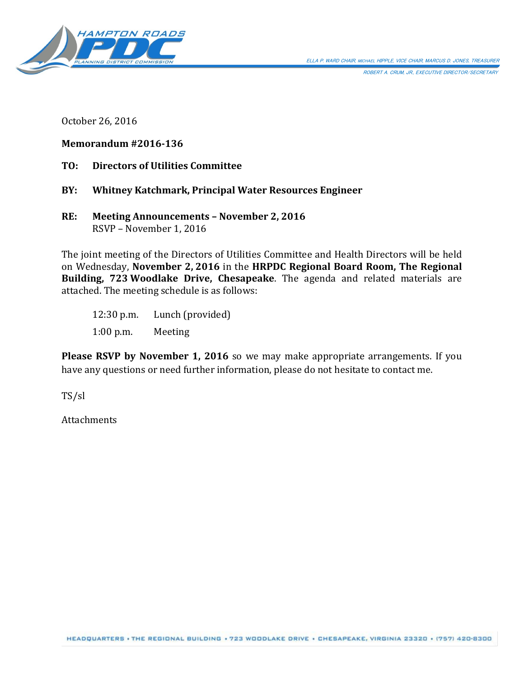

ROBERT A. CRUM, JR., EXECUTIVE DIRECTOR/SECRETARY

October 26, 2016

#### **Memorandum #2016-136**

**TO: Directors of Utilities Committee**

#### **BY: Whitney Katchmark, Principal Water Resources Engineer**

**RE: Meeting Announcements – November 2, 2016** RSVP – November 1, 2016

The joint meeting of the Directors of Utilities Committee and Health Directors will be held on Wednesday, **November 2, 2016** in the **HRPDC Regional Board Room, The Regional Building, 723 Woodlake Drive, Chesapeake**. The agenda and related materials are attached. The meeting schedule is as follows:

12:30 p.m. Lunch (provided) 1:00 p.m. Meeting

**Please RSVP by November 1, 2016** so we may make appropriate arrangements. If you have any questions or need further information, please do not hesitate to contact me.

TS/sl

Attachments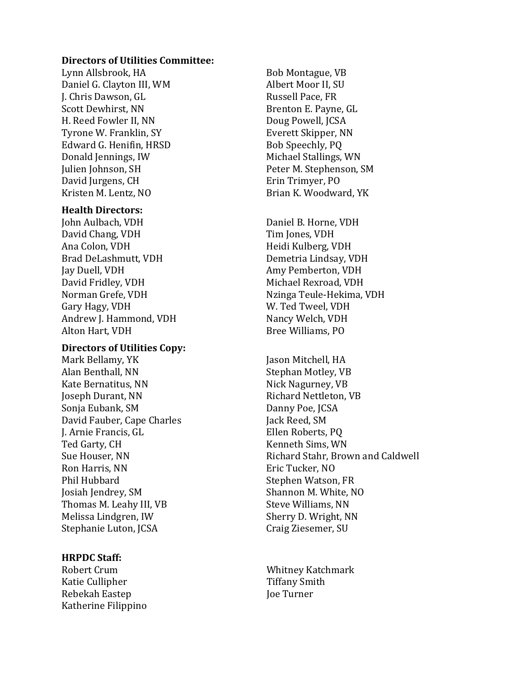#### **Directors of Utilities Committee:**

Lynn Allsbrook, HA Daniel G. Clayton III, WM J. Chris Dawson, GL Scott Dewhirst, NN H. Reed Fowler II, NN Tyrone W. Franklin, SY Edward G. Henifin, HRSD Donald Jennings, IW Julien Johnson, SH David Jurgens, CH Kristen M. Lentz, NO

#### **Health Directors:**

John Aulbach, VDH David Chang, VDH Ana Colon, VDH Brad DeLashmutt, VDH Jay Duell, VDH David Fridley, VDH Norman Grefe, VDH Gary Hagy, VDH Andrew J. Hammond, VDH Alton Hart, VDH

#### **Directors of Utilities Copy:**

Mark Bellamy, YK Alan Benthall, NN Kate Bernatitus, NN Joseph Durant, NN Sonja Eubank, SM David Fauber, Cape Charles J. Arnie Francis, GL Ted Garty, CH Sue Houser, NN Ron Harris, NN Phil Hubbard Josiah Jendrey, SM Thomas M. Leahy III, VB Melissa Lindgren, IW Stephanie Luton, JCSA

#### **HRPDC Staff:**

Robert Crum Katie Cullipher Rebekah Eastep Katherine Filippino

Bob Montague, VB Albert Moor II, SU Russell Pace, FR Brenton E. Payne, GL Doug Powell, JCSA Everett Skipper, NN Bob Speechly, PQ Michael Stallings, WN Peter M. Stephenson, SM Erin Trimyer, PO Brian K. Woodward, YK

Daniel B. Horne, VDH Tim Jones, VDH Heidi Kulberg, VDH Demetria Lindsay, VDH Amy Pemberton, VDH Michael Rexroad, VDH Nzinga Teule-Hekima, VDH W. Ted Tweel, VDH Nancy Welch, VDH Bree Williams, PO

Jason Mitchell, HA Stephan Motley, VB Nick Nagurney, VB Richard Nettleton, VB Danny Poe, JCSA Jack Reed, SM Ellen Roberts, PQ Kenneth Sims, WN Richard Stahr, Brown and Caldwell Eric Tucker, NO Stephen Watson, FR Shannon M. White, NO Steve Williams, NN Sherry D. Wright, NN Craig Ziesemer, SU

Whitney Katchmark Tiffany Smith Joe Turner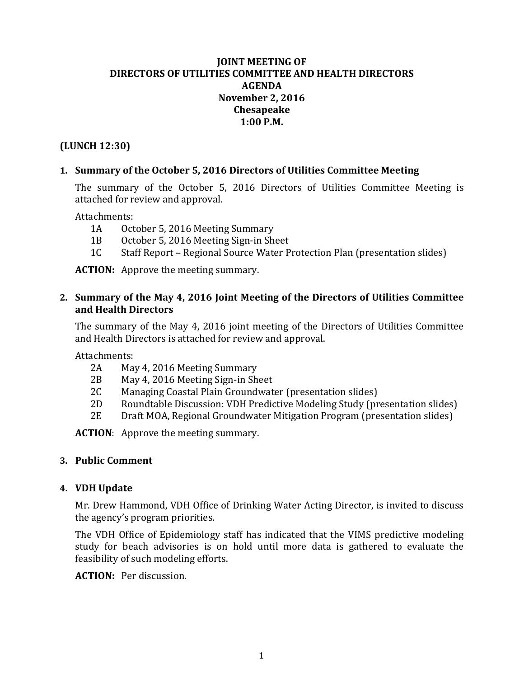# **JOINT MEETING OF DIRECTORS OF UTILITIES COMMITTEE AND HEALTH DIRECTORS AGENDA November 2, 2016 Chesapeake 1:00 P.M.**

# **(LUNCH 12:30)**

# **1. Summary of the October 5, 2016 Directors of Utilities Committee Meeting**

The summary of the October 5, 2016 Directors of Utilities Committee Meeting is attached for review and approval.

Attachments:<br>1A Oct

- 1A October 5, 2016 Meeting Summary<br>1B October 5, 2016 Meeting Sign-in Sh
- 1B October 5, 2016 Meeting Sign-in Sheet<br>1C Staff Report Regional Source Water P
- 1C Staff Report Regional Source Water Protection Plan (presentation slides)

**ACTION:** Approve the meeting summary.

# **2. Summary of the May 4, 2016 Joint Meeting of the Directors of Utilities Committee and Health Directors**

The summary of the May 4, 2016 joint meeting of the Directors of Utilities Committee and Health Directors is attached for review and approval.

Attachments:<br>2A Ma

- 2A May 4, 2016 Meeting Summary<br>2B May 4, 2016 Meeting Sign-in Sh
- 2B May 4, 2016 Meeting Sign-in Sheet<br>2C Managing Coastal Plain Groundwat
- 2C Managing Coastal Plain Groundwater (presentation slides)<br>2D Roundtable Discussion: VDH Predictive Modeling Study (pr
- 2D Roundtable Discussion: VDH Predictive Modeling Study (presentation slides)<br>2E Draft MOA, Regional Groundwater Mitigation Program (presentation slides)
- 2E Draft MOA, Regional Groundwater Mitigation Program (presentation slides)

**ACTION**: Approve the meeting summary.

# **3. Public Comment**

# **4. VDH Update**

Mr. Drew Hammond, VDH Office of Drinking Water Acting Director, is invited to discuss the agency's program priorities.

The VDH Office of Epidemiology staff has indicated that the VIMS predictive modeling study for beach advisories is on hold until more data is gathered to evaluate the feasibility of such modeling efforts.

**ACTION:** Per discussion.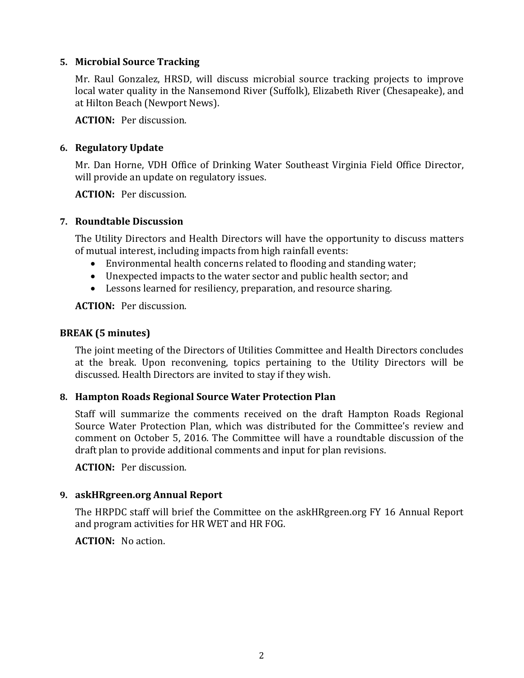### **5. Microbial Source Tracking**

Mr. Raul Gonzalez, HRSD, will discuss microbial source tracking projects to improve local water quality in the Nansemond River (Suffolk), Elizabeth River (Chesapeake), and at Hilton Beach (Newport News).

**ACTION:** Per discussion.

## **6. Regulatory Update**

Mr. Dan Horne, VDH Office of Drinking Water Southeast Virginia Field Office Director, will provide an update on regulatory issues.

**ACTION:** Per discussion.

#### **7. Roundtable Discussion**

The Utility Directors and Health Directors will have the opportunity to discuss matters of mutual interest, including impacts from high rainfall events:

- Environmental health concerns related to flooding and standing water;
- Unexpected impacts to the water sector and public health sector; and
- Lessons learned for resiliency, preparation, and resource sharing.

**ACTION:** Per discussion.

#### **BREAK (5 minutes)**

The joint meeting of the Directors of Utilities Committee and Health Directors concludes at the break. Upon reconvening, topics pertaining to the Utility Directors will be discussed. Health Directors are invited to stay if they wish.

# **8. Hampton Roads Regional Source Water Protection Plan**

Staff will summarize the comments received on the draft Hampton Roads Regional Source Water Protection Plan, which was distributed for the Committee's review and comment on October 5, 2016. The Committee will have a roundtable discussion of the draft plan to provide additional comments and input for plan revisions.

**ACTION:** Per discussion.

# **9. askHRgreen.org Annual Report**

The HRPDC staff will brief the Committee on the askHRgreen.org FY 16 Annual Report and program activities for HR WET and HR FOG.

**ACTION:** No action.